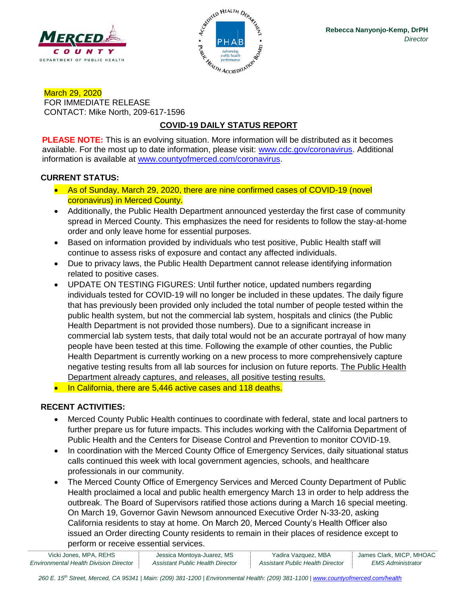



March 29, 2020 FOR IMMEDIATE RELEASE CONTACT: Mike North, 209-617-1596

# **COVID-19 DAILY STATUS REPORT**

**PLEASE NOTE:** This is an evolving situation. More information will be distributed as it becomes available. For the most up to date information, please visit: [www.cdc.gov/coronavirus.](http://www.cdc.gov/coronavirus) Additional information is available at [www.countyofmerced.com/coronavirus.](http://www.countyofmerced.com/coronavirus)

#### **CURRENT STATUS:**

- As of Sunday, March 29, 2020, there are nine confirmed cases of COVID-19 (novel coronavirus) in Merced County.
- Additionally, the Public Health Department announced yesterday the first case of community spread in Merced County. This emphasizes the need for residents to follow the stay-at-home order and only leave home for essential purposes.
- Based on information provided by individuals who test positive, Public Health staff will continue to assess risks of exposure and contact any affected individuals.
- Due to privacy laws, the Public Health Department cannot release identifying information related to positive cases.
- UPDATE ON TESTING FIGURES: Until further notice, updated numbers regarding individuals tested for COVID-19 will no longer be included in these updates. The daily figure that has previously been provided only included the total number of people tested within the public health system, but not the commercial lab system, hospitals and clinics (the Public Health Department is not provided those numbers). Due to a significant increase in commercial lab system tests, that daily total would not be an accurate portrayal of how many people have been tested at this time. Following the example of other counties, the Public Health Department is currently working on a new process to more comprehensively capture negative testing results from all lab sources for inclusion on future reports. The Public Health Department already captures, and releases, all positive testing results.
- In California, there are 5,446 active cases and 118 deaths.

### **RECENT ACTIVITIES:**

- Merced County Public Health continues to coordinate with federal, state and local partners to further prepare us for future impacts. This includes working with the California Department of Public Health and the Centers for Disease Control and Prevention to monitor COVID-19.
- In coordination with the Merced County Office of Emergency Services, daily situational status calls continued this week with local government agencies, schools, and healthcare professionals in our community.
- The Merced County Office of Emergency Services and Merced County Department of Public Health proclaimed a local and public health emergency March 13 in order to help address the outbreak. The Board of Supervisors ratified those actions during a March 16 special meeting. On March 19, Governor Gavin Newsom announced Executive Order N-33-20, asking California residents to stay at home. On March 20, Merced County's Health Officer also issued an Order directing County residents to remain in their places of residence except to perform or receive essential services.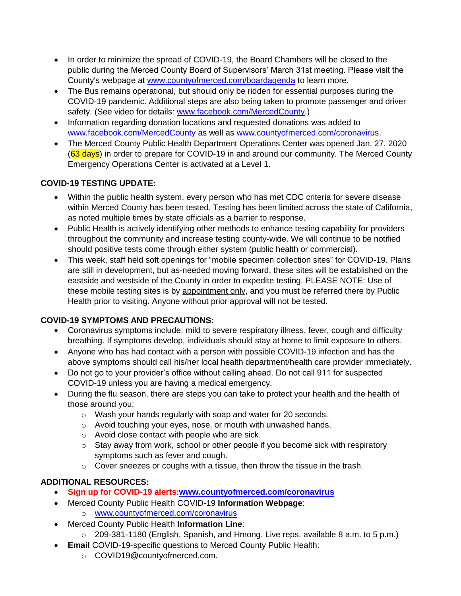- In order to minimize the spread of COVID-19, the Board Chambers will be closed to the public during the Merced County Board of Supervisors' March 31st meeting. Please visit the County's webpage at [www.countyofmerced.com/boardagenda](http://www.countyofmerced.com/boardagenda) to learn more.
- The Bus remains operational, but should only be ridden for essential purposes during the COVID-19 pandemic. Additional steps are also being taken to promote passenger and driver safety. (See video for details: [www.facebook.com/MercedCounty.](http://www.facebook.com/MercedCounty))
- Information regarding donation locations and requested donations was added to [www.facebook.com/MercedCounty](http://www.facebook.com/MercedCounty) as well as [www.countyofmerced.com/coronavirus.](http://www.countyofmerced.com/coronavirus)
- The Merced County Public Health Department Operations Center was opened Jan. 27, 2020 (63 days) in order to prepare for COVID-19 in and around our community. The Merced County Emergency Operations Center is activated at a Level 1.

## **COVID-19 TESTING UPDATE:**

- Within the public health system, every person who has met CDC criteria for severe disease within Merced County has been tested. Testing has been limited across the state of California, as noted multiple times by state officials as a barrier to response.
- Public Health is actively identifying other methods to enhance testing capability for providers throughout the community and increase testing county-wide. We will continue to be notified should positive tests come through either system (public health or commercial).
- This week, staff held soft openings for "mobile specimen collection sites" for COVID-19. Plans are still in development, but as-needed moving forward, these sites will be established on the eastside and westside of the County in order to expedite testing. PLEASE NOTE: Use of these mobile testing sites is by appointment only, and you must be referred there by Public Health prior to visiting. Anyone without prior approval will not be tested.

### **COVID-19 SYMPTOMS AND PRECAUTIONS:**

- Coronavirus symptoms include: mild to severe respiratory illness, fever, cough and difficulty breathing. If symptoms develop, individuals should stay at home to limit exposure to others.
- Anyone who has had contact with a person with possible COVID-19 infection and has the above symptoms should call his/her local health department/health care provider immediately.
- Do not go to your provider's office without calling ahead. Do not call 911 for suspected COVID-19 unless you are having a medical emergency.
- During the flu season, there are steps you can take to protect your health and the health of those around you:
	- o Wash your hands regularly with soap and water for 20 seconds.
	- o Avoid touching your eyes, nose, or mouth with unwashed hands.
	- o Avoid close contact with people who are sick.
	- $\circ$  Stay away from work, school or other people if you become sick with respiratory symptoms such as fever and cough.
	- o Cover sneezes or coughs with a tissue, then throw the tissue in the trash.

## **ADDITIONAL RESOURCES:**

- **Sign up for COVID-19 alerts[:www.countyofmerced.com/coronavirus](http://www.countyofmerced.com/coronavirus)**
- Merced County Public Health COVID-19 **Information Webpage**:
	- o [www.countyofmerced.com/coronavirus](http://www.countyofmerced.com/coronavirus)
- Merced County Public Health **Information Line**:
	- o 209-381-1180 (English, Spanish, and Hmong. Live reps. available 8 a.m. to 5 p.m.)
- **Email** COVID-19-specific questions to Merced County Public Health:
	- o COVID19@countyofmerced.com.